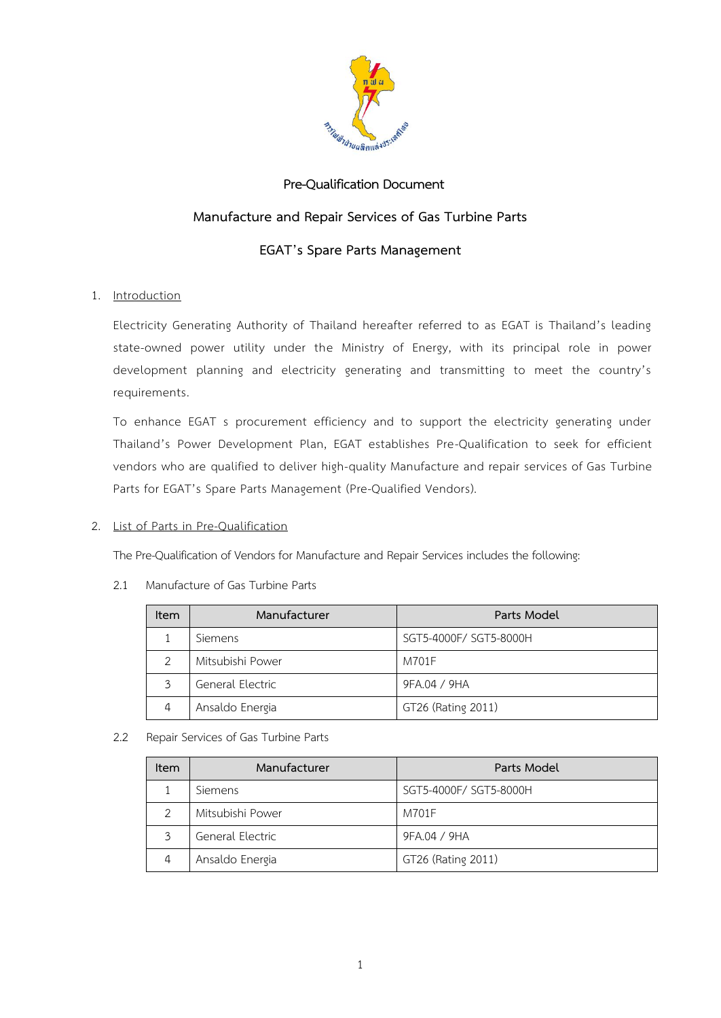

# **Pre-Qualification Document**

# **Manufacture and Repair Services of Gas Turbine Parts**

# **EGAT's Spare Parts Management**

# 1. Introduction

Electricity Generating Authority of Thailand hereafter referred to as EGAT is Thailand's leading state-owned power utility under the Ministry of Energy, with its principal role in power development planning and electricity generating and transmitting to meet the country's requirements.

To enhance EGAT s procurement efficiency and to support the electricity generating under Thailand's Power Development Plan, EGAT establishes Pre-Qualification to seek for efficient vendors who are qualified to deliver high-quality Manufacture and repair services of Gas Turbine Parts for EGAT's Spare Parts Management (Pre-Qualified Vendors).

## 2. List of Parts in Pre-Qualification

The Pre-Qualification of Vendors for Manufacture and Repair Services includes the following:

| <b>Item</b> | Manufacturer     | Parts Model            |
|-------------|------------------|------------------------|
|             | Siemens          | SGT5-4000F/ SGT5-8000H |
|             | Mitsubishi Power | M701F                  |
| 3           | General Electric | 9FA.04 / 9HA           |
| 4           | Ansaldo Energia  | GT26 (Rating 2011)     |

## 2.1 Manufacture of Gas Turbine Parts

## 2.2 Repair Services of Gas Turbine Parts

| <b>Item</b> | Manufacturer     | Parts Model            |
|-------------|------------------|------------------------|
|             | Siemens          | SGT5-4000F/ SGT5-8000H |
| 2           | Mitsubishi Power | M701F                  |
| 3           | General Electric | 9FA.04 / 9HA           |
| 4           | Ansaldo Energia  | GT26 (Rating 2011)     |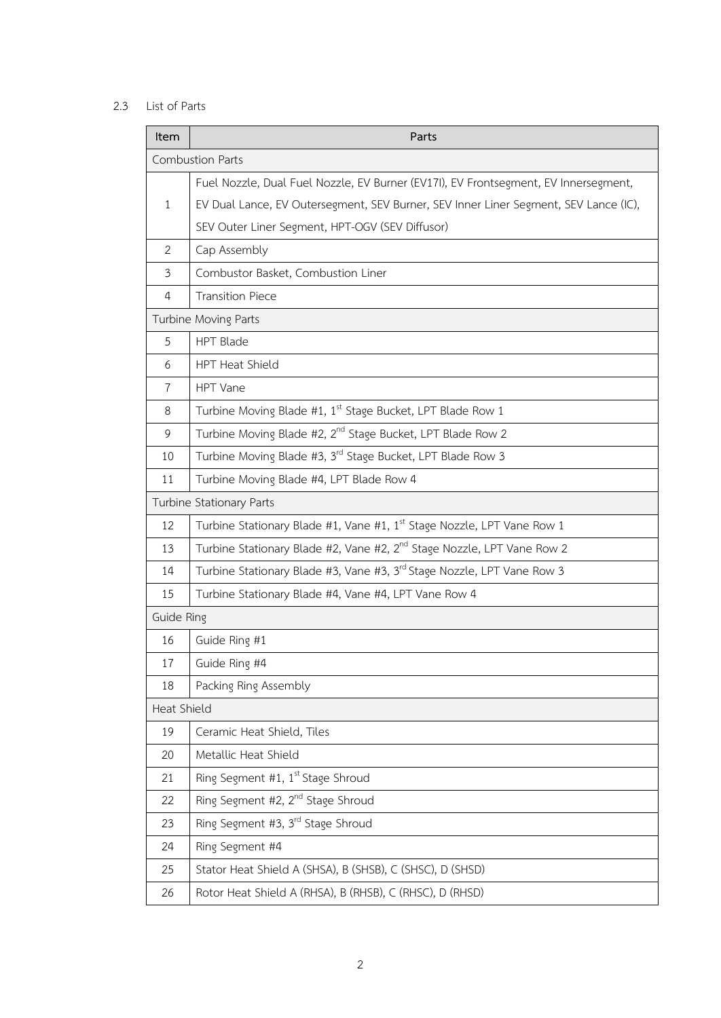# 2.3 List of Parts

| Item           | Parts                                                                                |  |  |  |  |
|----------------|--------------------------------------------------------------------------------------|--|--|--|--|
|                | <b>Combustion Parts</b>                                                              |  |  |  |  |
|                | Fuel Nozzle, Dual Fuel Nozzle, EV Burner (EV17I), EV Frontsegment, EV Innersegment,  |  |  |  |  |
| $\mathbf{1}$   | EV Dual Lance, EV Outersegment, SEV Burner, SEV Inner Liner Segment, SEV Lance (IC), |  |  |  |  |
|                | SEV Outer Liner Segment, HPT-OGV (SEV Diffusor)                                      |  |  |  |  |
| $\overline{2}$ | Cap Assembly                                                                         |  |  |  |  |
| $\mathfrak{Z}$ | Combustor Basket, Combustion Liner                                                   |  |  |  |  |
| $\overline{4}$ | <b>Transition Piece</b>                                                              |  |  |  |  |
|                | Turbine Moving Parts                                                                 |  |  |  |  |
| 5              | <b>HPT Blade</b>                                                                     |  |  |  |  |
| 6              | HPT Heat Shield                                                                      |  |  |  |  |
| $\overline{7}$ | HPT Vane                                                                             |  |  |  |  |
| 8              | Turbine Moving Blade #1, 1 <sup>st</sup> Stage Bucket, LPT Blade Row 1               |  |  |  |  |
| 9              | Turbine Moving Blade #2, 2 <sup>nd</sup> Stage Bucket, LPT Blade Row 2               |  |  |  |  |
| 10             | Turbine Moving Blade #3, 3rd Stage Bucket, LPT Blade Row 3                           |  |  |  |  |
| 11             | Turbine Moving Blade #4, LPT Blade Row 4                                             |  |  |  |  |
|                | Turbine Stationary Parts                                                             |  |  |  |  |
| 12             | Turbine Stationary Blade #1, Vane #1, 1 <sup>st</sup> Stage Nozzle, LPT Vane Row 1   |  |  |  |  |
| 13             | Turbine Stationary Blade #2, Vane #2, 2 <sup>nd</sup> Stage Nozzle, LPT Vane Row 2   |  |  |  |  |
| 14             | Turbine Stationary Blade #3, Vane #3, 3rd Stage Nozzle, LPT Vane Row 3               |  |  |  |  |
| 15             | Turbine Stationary Blade #4, Vane #4, LPT Vane Row 4                                 |  |  |  |  |
| Guide Ring     |                                                                                      |  |  |  |  |
| 16             | Guide Ring #1                                                                        |  |  |  |  |
| 17             | Guide Ring #4                                                                        |  |  |  |  |
| 18             | Packing Ring Assembly                                                                |  |  |  |  |
|                | Heat Shield                                                                          |  |  |  |  |
| 19             | Ceramic Heat Shield, Tiles                                                           |  |  |  |  |
| 20             | Metallic Heat Shield                                                                 |  |  |  |  |
| 21             | Ring Segment #1, $1^{st}$ Stage Shroud                                               |  |  |  |  |
| 22             | Ring Segment #2, 2 <sup>nd</sup> Stage Shroud                                        |  |  |  |  |
| 23             | Ring Segment #3, 3 <sup>rd</sup> Stage Shroud                                        |  |  |  |  |
| 24             | Ring Segment #4                                                                      |  |  |  |  |
| 25             | Stator Heat Shield A (SHSA), B (SHSB), C (SHSC), D (SHSD)                            |  |  |  |  |
| 26             | Rotor Heat Shield A (RHSA), B (RHSB), C (RHSC), D (RHSD)                             |  |  |  |  |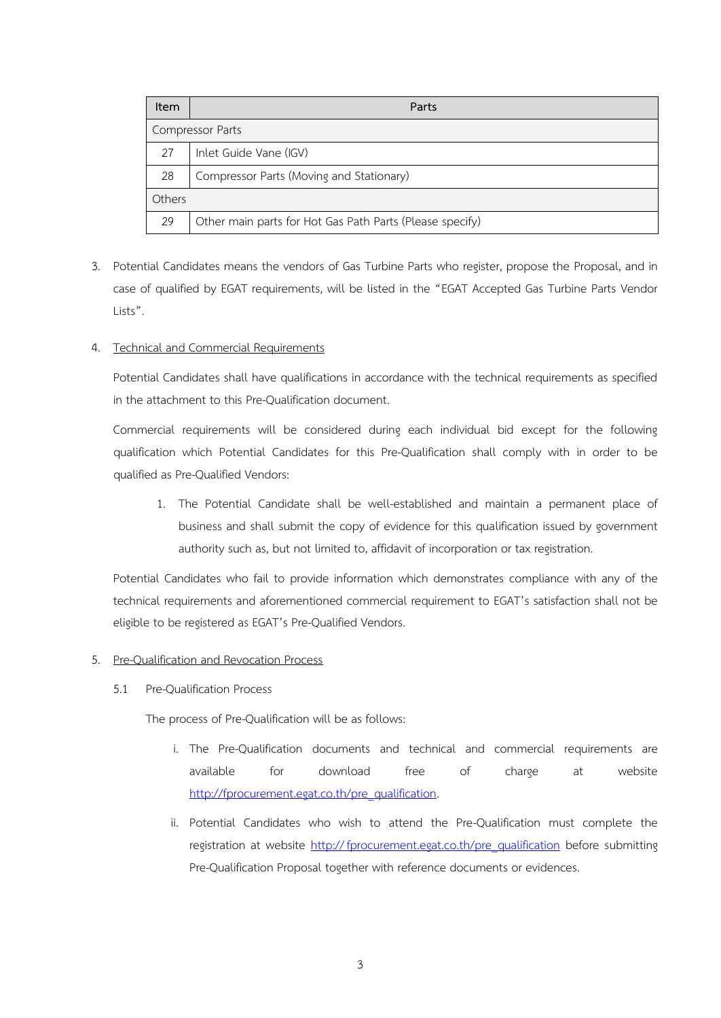| Item             | Parts                                                    |  |
|------------------|----------------------------------------------------------|--|
| Compressor Parts |                                                          |  |
| 27               | Inlet Guide Vane (IGV)                                   |  |
| 28               | Compressor Parts (Moving and Stationary)                 |  |
| Others           |                                                          |  |
| 29               | Other main parts for Hot Gas Path Parts (Please specify) |  |

3. Potential Candidates means the vendors of Gas Turbine Parts who register, propose the Proposal, and in case of qualified by EGAT requirements, will be listed in the "EGAT Accepted Gas Turbine Parts Vendor Lists".

## 4. Technical and Commercial Requirements

Potential Candidates shall have qualifications in accordance with the technical requirements as specified in the attachment to this Pre-Qualification document.

Commercial requirements will be considered during each individual bid except for the following qualification which Potential Candidates for this Pre-Qualification shall comply with in order to be qualified as Pre-Qualified Vendors:

1. The Potential Candidate shall be well-established and maintain a permanent place of business and shall submit the copy of evidence for this qualification issued by government authority such as, but not limited to, affidavit of incorporation or tax registration.

Potential Candidates who fail to provide information which demonstrates compliance with any of the technical requirements and aforementioned commercial requirement to EGAT's satisfaction shall not be eligible to be registered as EGAT's Pre-Qualified Vendors.

# 5. Pre-Qualification and Revocation Process

5.1 Pre-Qualification Process

The process of Pre-Qualification will be as follows:

- i. The Pre-Qualification documents and technical and commercial requirements are available for download free of charge at website http://[fprocurement.egat.co.th/pre\\_qualification.](http://fprocurement.egat.co.th/pre_qualification)
- ii. Potential Candidates who wish to attend the Pre-Qualification must complete the registration at website http://[fprocurement.egat.co.th/pre\\_qualification](http://fprocurement.egat.co.th/pre_qualification) before submitting Pre-Qualification Proposal together with reference documents or evidences.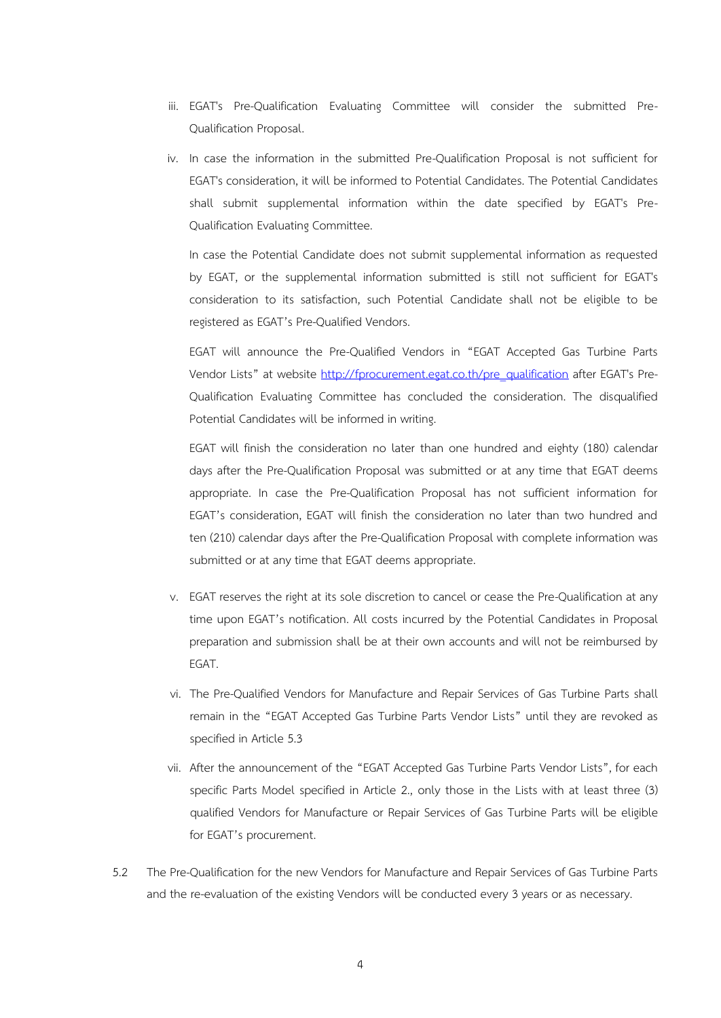- iii. EGAT's Pre-Qualification Evaluating Committee will consider the submitted Pre-Qualification Proposal.
- iv. In case the information in the submitted Pre-Qualification Proposal is not sufficient for EGAT's consideration, it will be informed to Potential Candidates. The Potential Candidates shall submit supplemental information within the date specified by EGAT's Pre-Qualification Evaluating Committee.

In case the Potential Candidate does not submit supplemental information as requested by EGAT, or the supplemental information submitted is still not sufficient for EGAT's consideration to its satisfaction, such Potential Candidate shall not be eligible to be registered as EGAT's Pre-Qualified Vendors.

EGAT will announce the Pre-Qualified Vendors in "EGAT Accepted Gas Turbine Parts Vendor Lists" at website http://[fprocurement.egat.co.th/pre\\_qualification](http://fprocurement.egat.co.th/pre_qualification) after EGAT's Pre-Qualification Evaluating Committee has concluded the consideration. The disqualified Potential Candidates will be informed in writing.

EGAT will finish the consideration no later than one hundred and eighty (180) calendar days after the Pre-Qualification Proposal was submitted or at any time that EGAT deems appropriate. In case the Pre-Qualification Proposal has not sufficient information for EGAT's consideration, EGAT will finish the consideration no later than two hundred and ten (210) calendar days after the Pre-Qualification Proposal with complete information was submitted or at any time that EGAT deems appropriate.

- v. EGAT reserves the right at its sole discretion to cancel or cease the Pre-Qualification at any time upon EGAT's notification. All costs incurred by the Potential Candidates in Proposal preparation and submission shall be at their own accounts and will not be reimbursed by EGAT.
- vi. The Pre-Qualified Vendors for Manufacture and Repair Services of Gas Turbine Parts shall remain in the "EGAT Accepted Gas Turbine Parts Vendor Lists" until they are revoked as specified in Article 5.3
- vii. After the announcement of the "EGAT Accepted Gas Turbine Parts Vendor Lists", for each specific Parts Model specified in Article 2., only those in the Lists with at least three (3) qualified Vendors for Manufacture or Repair Services of Gas Turbine Parts will be eligible for EGAT's procurement.
- 5.2 The Pre-Qualification for the new Vendors for Manufacture and Repair Services of Gas Turbine Parts and the re-evaluation of the existing Vendors will be conducted every 3 years or as necessary.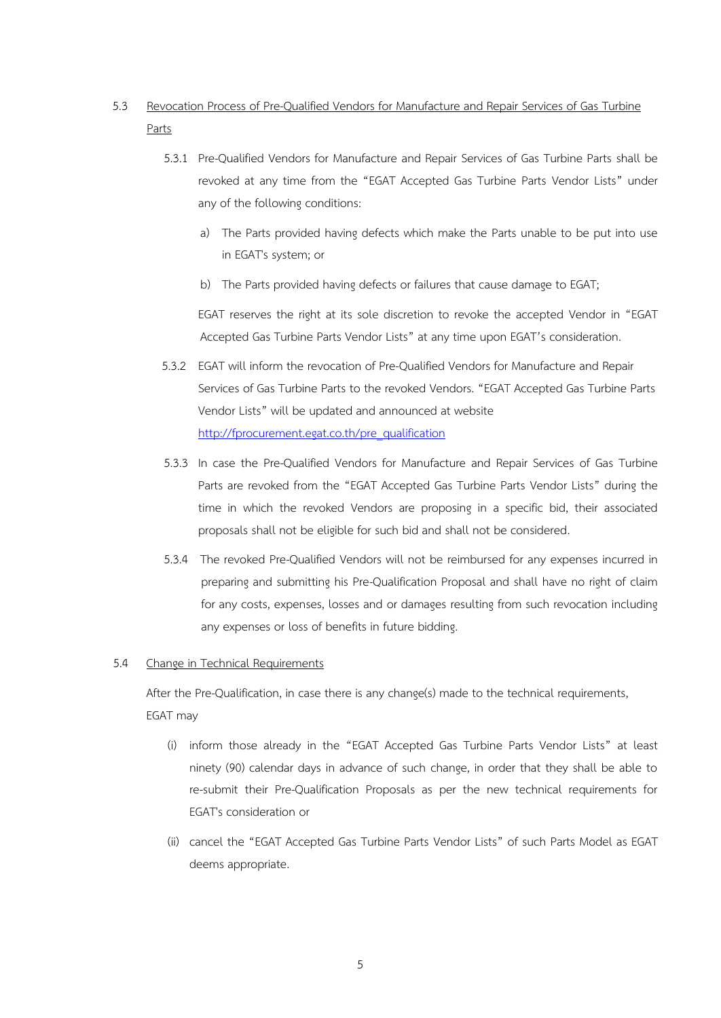# 5.3 Revocation Process of Pre-Qualified Vendors for Manufacture and Repair Services of Gas Turbine Parts

- 5.3.1 Pre-Qualified Vendors for Manufacture and Repair Services of Gas Turbine Parts shall be revoked at any time from the "EGAT Accepted Gas Turbine Parts Vendor Lists" under any of the following conditions:
	- a) The Parts provided having defects which make the Parts unable to be put into use in EGAT's system; or
	- b) The Parts provided having defects or failures that cause damage to EGAT;

EGAT reserves the right at its sole discretion to revoke the accepted Vendor in "EGAT Accepted Gas Turbine Parts Vendor Lists" at any time upon EGAT's consideration.

- 5.3.2 EGAT will inform the revocation of Pre-Qualified Vendors for Manufacture and Repair Services of Gas Turbine Parts to the revoked Vendors. "EGAT Accepted Gas Turbine Parts Vendor Lists" will be updated and announced at website http://[fprocurement.egat.co.th/pre\\_qualification](http://fprocurement.egat.co.th/pre_qualification)
- 5.3.3 In case the Pre-Qualified Vendors for Manufacture and Repair Services of Gas Turbine Parts are revoked from the "EGAT Accepted Gas Turbine Parts Vendor Lists" during the time in which the revoked Vendors are proposing in a specific bid, their associated proposals shall not be eligible for such bid and shall not be considered.
- 5.3.4 The revoked Pre-Qualified Vendors will not be reimbursed for any expenses incurred in preparing and submitting his Pre-Qualification Proposal and shall have no right of claim for any costs, expenses, losses and or damages resulting from such revocation including any expenses or loss of benefits in future bidding.

## 5.4 Change in Technical Requirements

After the Pre-Qualification, in case there is any change(s) made to the technical requirements, EGAT may

- (i) inform those already in the "EGAT Accepted Gas Turbine Parts Vendor Lists" at least ninety (90) calendar days in advance of such change, in order that they shall be able to re-submit their Pre-Qualification Proposals as per the new technical requirements for EGAT's consideration or
- (ii) cancel the "EGAT Accepted Gas Turbine Parts Vendor Lists" of such Parts Model as EGAT deems appropriate.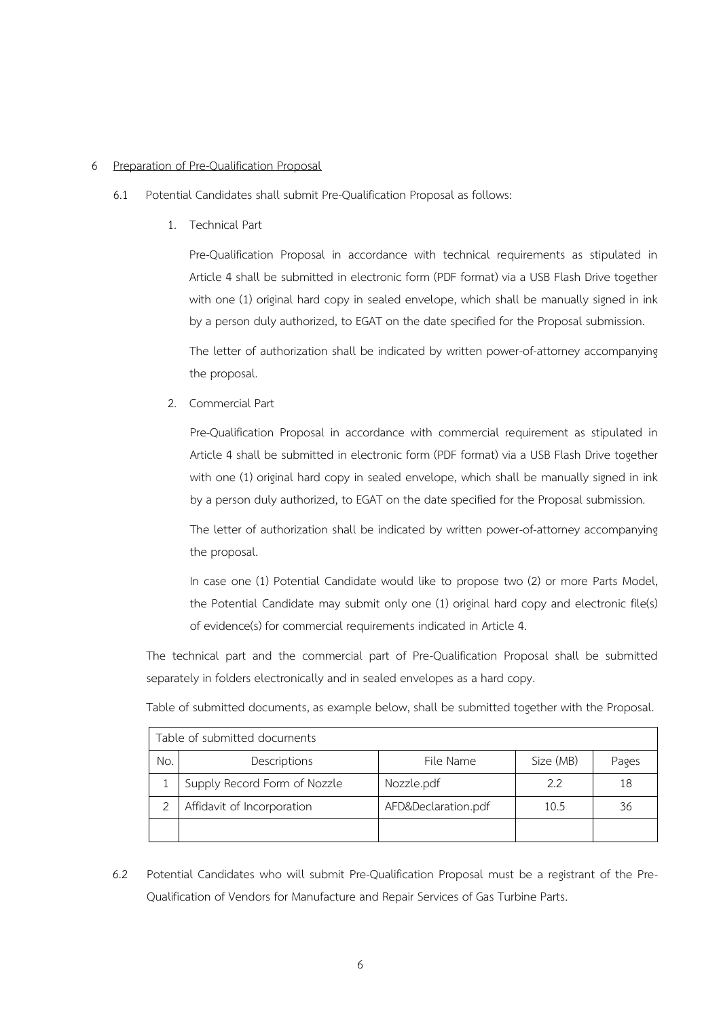#### 6 Preparation of Pre-Qualification Proposal

- 6.1 Potential Candidates shall submit Pre-Qualification Proposal as follows:
	- 1. Technical Part

Pre-Qualification Proposal in accordance with technical requirements as stipulated in Article 4 shall be submitted in electronic form (PDF format) via a USB Flash Drive together with one (1) original hard copy in sealed envelope, which shall be manually signed in ink by a person duly authorized, to EGAT on the date specified for the Proposal submission.

The letter of authorization shall be indicated by written power-of-attorney accompanying the proposal.

2. Commercial Part

Pre-Qualification Proposal in accordance with commercial requirement as stipulated in Article 4 shall be submitted in electronic form (PDF format) via a USB Flash Drive together with one (1) original hard copy in sealed envelope, which shall be manually signed in ink by a person duly authorized, to EGAT on the date specified for the Proposal submission.

The letter of authorization shall be indicated by written power-of-attorney accompanying the proposal.

In case one (1) Potential Candidate would like to propose two (2) or more Parts Model, the Potential Candidate may submit only one (1) original hard copy and electronic file(s) of evidence(s) for commercial requirements indicated in Article 4.

The technical part and the commercial part of Pre-Qualification Proposal shall be submitted separately in folders electronically and in sealed envelopes as a hard copy.

Table of submitted documents, as example below, shall be submitted together with the Proposal.

| Table of submitted documents |                              |                     |           |       |  |
|------------------------------|------------------------------|---------------------|-----------|-------|--|
| No.                          | Descriptions                 | File Name           | Size (MB) | Pages |  |
|                              | Supply Record Form of Nozzle | Nozzle.pdf          | 2.2       | 18    |  |
|                              | Affidavit of Incorporation   | AFD&Declaration.pdf | 10.5      | 36    |  |
|                              |                              |                     |           |       |  |

6.2 Potential Candidates who will submit Pre-Qualification Proposal must be a registrant of the Pre-Qualification of Vendors for Manufacture and Repair Services of Gas Turbine Parts.